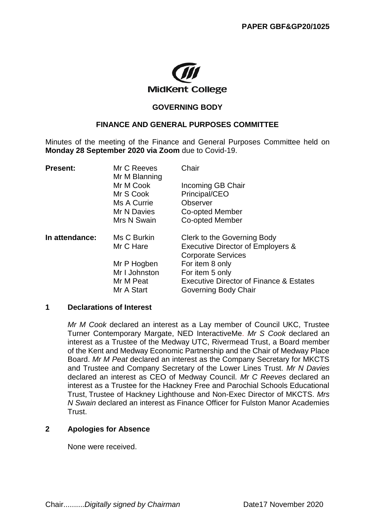

#### **GOVERNING BODY**

#### **FINANCE AND GENERAL PURPOSES COMMITTEE**

Minutes of the meeting of the Finance and General Purposes Committee held on **Monday 28 September 2020 via Zoom** due to Covid-19.

| Mr C Reeves                | Chair                                              |
|----------------------------|----------------------------------------------------|
| Mr M Cook                  | Incoming GB Chair                                  |
| Mr S Cook                  | Principal/CEO                                      |
| Ms A Currie                | Observer                                           |
| Mr N Davies                | Co-opted Member                                    |
| Mrs N Swain                | Co-opted Member                                    |
| Ms C Burkin                | Clerk to the Governing Body                        |
| Mr C Hare                  | Executive Director of Employers &                  |
|                            | <b>Corporate Services</b>                          |
| Mr P Hogben                | For item 8 only                                    |
| Mr I Johnston<br>Mr M Peat | For item 5 only                                    |
|                            | <b>Executive Director of Finance &amp; Estates</b> |
| Mr A Start                 | Governing Body Chair                               |
|                            | Mr M Blanning                                      |

#### **1 Declarations of Interest**

*Mr M Cook* declared an interest as a Lay member of Council UKC, Trustee Turner Contemporary Margate, NED InteractiveMe. *Mr S Cook* declared an interest as a Trustee of the Medway UTC, Rivermead Trust, a Board member of the Kent and Medway Economic Partnership and the Chair of Medway Place Board. *Mr M Peat* declared an interest as the Company Secretary for MKCTS and Trustee and Company Secretary of the Lower Lines Trust. *Mr N Davies* declared an interest as CEO of Medway Council. *Mr C Reeves* declared an interest as a Trustee for the Hackney Free and Parochial Schools Educational Trust, Trustee of Hackney Lighthouse and Non-Exec Director of MKCTS. *Mrs N Swain* declared an interest as Finance Officer for Fulston Manor Academies **Trust** 

#### **2 Apologies for Absence**

None were received.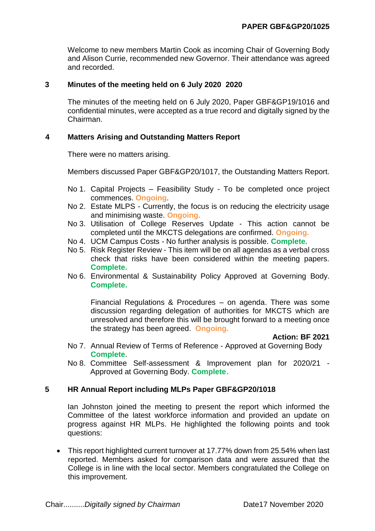Welcome to new members Martin Cook as incoming Chair of Governing Body and Alison Currie, recommended new Governor. Their attendance was agreed and recorded.

### **3 Minutes of the meeting held on 6 July 2020 2020**

The minutes of the meeting held on 6 July 2020, Paper GBF&GP19/1016 and confidential minutes, were accepted as a true record and digitally signed by the Chairman.

### **4 Matters Arising and Outstanding Matters Report**

There were no matters arising.

Members discussed Paper GBF&GP20/1017, the Outstanding Matters Report.

- No 1. Capital Projects Feasibility Study To be completed once project commences. **Ongoing**.
- No 2. Estate MLPS Currently, the focus is on reducing the electricity usage and minimising waste. **Ongoing.**
- No 3. Utilisation of College Reserves Update This action cannot be completed until the MKCTS delegations are confirmed. **Ongoing.**
- No 4. UCM Campus Costs No further analysis is possible. **Complete.**
- No 5. Risk Register Review This item will be on all agendas as a verbal cross check that risks have been considered within the meeting papers. **Complete.**
- No 6. Environmental & Sustainability Policy Approved at Governing Body. **Complete.**

Financial Regulations & Procedures – on agenda. There was some discussion regarding delegation of authorities for MKCTS which are unresolved and therefore this will be brought forward to a meeting once the strategy has been agreed. **Ongoing.**

**Action: BF 2021**

- No 7. Annual Review of Terms of Reference Approved at Governing Body **Complete**.
- No 8. Committee Self-assessment & Improvement plan for 2020/21 Approved at Governing Body. **Complete**.

## **5 HR Annual Report including MLPs Paper GBF&GP20/1018**

Ian Johnston joined the meeting to present the report which informed the Committee of the latest workforce information and provided an update on progress against HR MLPs. He highlighted the following points and took questions:

• This report highlighted current turnover at 17.77% down from 25.54% when last reported. Members asked for comparison data and were assured that the College is in line with the local sector. Members congratulated the College on this improvement.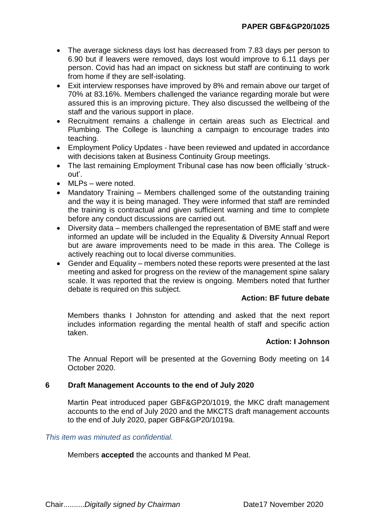- The average sickness days lost has decreased from 7.83 days per person to 6.90 but if leavers were removed, days lost would improve to 6.11 days per person. Covid has had an impact on sickness but staff are continuing to work from home if they are self-isolating.
- Exit interview responses have improved by 8% and remain above our target of 70% at 83.16%. Members challenged the variance regarding morale but were assured this is an improving picture. They also discussed the wellbeing of the staff and the various support in place.
- Recruitment remains a challenge in certain areas such as Electrical and Plumbing. The College is launching a campaign to encourage trades into teaching.
- Employment Policy Updates have been reviewed and updated in accordance with decisions taken at Business Continuity Group meetings.
- The last remaining Employment Tribunal case has now been officially 'struckout'.
- MLPs were noted.
- Mandatory Training Members challenged some of the outstanding training and the way it is being managed. They were informed that staff are reminded the training is contractual and given sufficient warning and time to complete before any conduct discussions are carried out.
- Diversity data members challenged the representation of BME staff and were informed an update will be included in the Equality & Diversity Annual Report but are aware improvements need to be made in this area. The College is actively reaching out to local diverse communities.
- Gender and Equality members noted these reports were presented at the last meeting and asked for progress on the review of the management spine salary scale. It was reported that the review is ongoing. Members noted that further debate is required on this subject.

# **Action: BF future debate**

Members thanks I Johnston for attending and asked that the next report includes information regarding the mental health of staff and specific action taken.

# **Action: I Johnson**

The Annual Report will be presented at the Governing Body meeting on 14 October 2020.

# **6 Draft Management Accounts to the end of July 2020**

Martin Peat introduced paper GBF&GP20/1019, the MKC draft management accounts to the end of July 2020 and the MKCTS draft management accounts to the end of July 2020, paper GBF&GP20/1019a.

## *This item was minuted as confidential.*

Members **accepted** the accounts and thanked M Peat.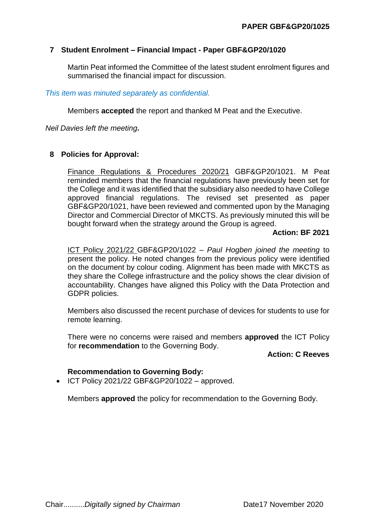## **7 Student Enrolment – Financial Impact - Paper GBF&GP20/1020**

Martin Peat informed the Committee of the latest student enrolment figures and summarised the financial impact for discussion.

*This item was minuted separately as confidential.*

Members **accepted** the report and thanked M Peat and the Executive.

*Neil Davies left the meeting.*

## **8 Policies for Approval:**

Finance Regulations & Procedures 2020/21 GBF&GP20/1021. M Peat reminded members that the financial regulations have previously been set for the College and it was identified that the subsidiary also needed to have College approved financial regulations. The revised set presented as paper GBF&GP20/1021, have been reviewed and commented upon by the Managing Director and Commercial Director of MKCTS. As previously minuted this will be bought forward when the strategy around the Group is agreed.

## **Action: BF 2021**

ICT Policy 2021/22 GBF&GP20/1022 – *Paul Hogben joined the meeting* to present the policy. He noted changes from the previous policy were identified on the document by colour coding. Alignment has been made with MKCTS as they share the College infrastructure and the policy shows the clear division of accountability. Changes have aligned this Policy with the Data Protection and GDPR policies.

Members also discussed the recent purchase of devices for students to use for remote learning.

There were no concerns were raised and members **approved** the ICT Policy for **recommendation** to the Governing Body.

#### **Action: C Reeves**

## **Recommendation to Governing Body:**

 $\bullet$  ICT Policy 2021/22 GBF&GP20/1022 – approved.

Members **approved** the policy for recommendation to the Governing Body.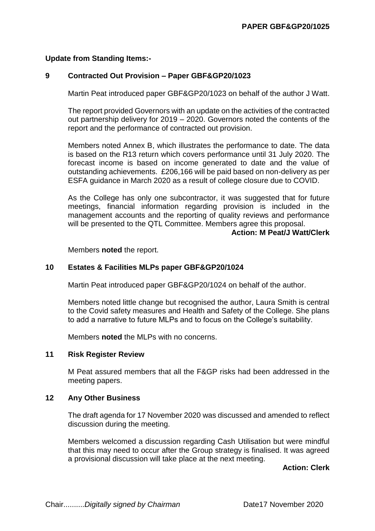## **Update from Standing Items:-**

## **9 Contracted Out Provision – Paper GBF&GP20/1023**

Martin Peat introduced paper GBF&GP20/1023 on behalf of the author J Watt.

The report provided Governors with an update on the activities of the contracted out partnership delivery for 2019 – 2020. Governors noted the contents of the report and the performance of contracted out provision.

Members noted Annex B, which illustrates the performance to date. The data is based on the R13 return which covers performance until 31 July 2020. The forecast income is based on income generated to date and the value of outstanding achievements. £206,166 will be paid based on non-delivery as per ESFA guidance in March 2020 as a result of college closure due to COVID.

As the College has only one subcontractor, it was suggested that for future meetings, financial information regarding provision is included in the management accounts and the reporting of quality reviews and performance will be presented to the QTL Committee. Members agree this proposal.

#### **Action: M Peat/J Watt/Clerk**

Members **noted** the report.

## **10 Estates & Facilities MLPs paper GBF&GP20/1024**

Martin Peat introduced paper GBF&GP20/1024 on behalf of the author.

Members noted little change but recognised the author, Laura Smith is central to the Covid safety measures and Health and Safety of the College. She plans to add a narrative to future MLPs and to focus on the College's suitability.

Members **noted** the MLPs with no concerns.

#### **11 Risk Register Review**

M Peat assured members that all the F&GP risks had been addressed in the meeting papers.

#### **12 Any Other Business**

The draft agenda for 17 November 2020 was discussed and amended to reflect discussion during the meeting.

Members welcomed a discussion regarding Cash Utilisation but were mindful that this may need to occur after the Group strategy is finalised. It was agreed a provisional discussion will take place at the next meeting.

**Action: Clerk**

Chair..........*Digitally signed by Chairman* Date17 November 2020